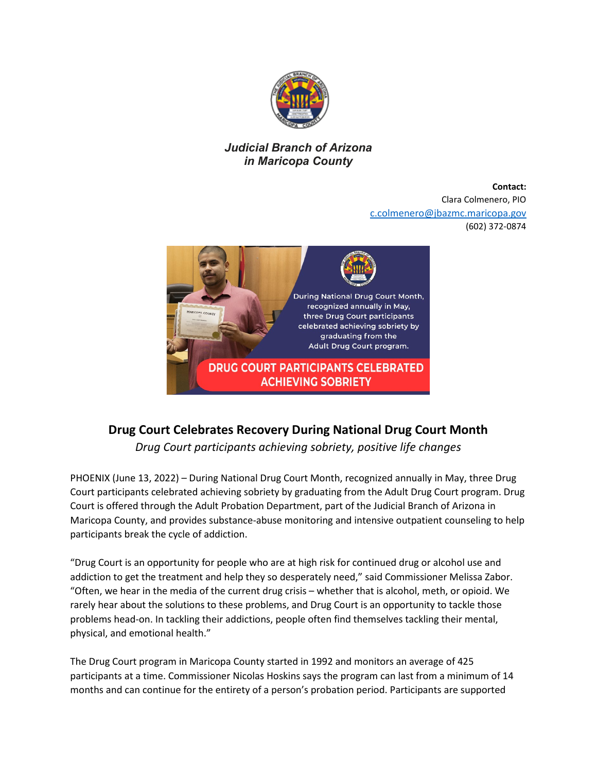

## *Judicial Branch of Arizona in Maricopa County*

**Contact:** Clara Colmenero, PIO [c.colmenero@jbazmc.maricopa.gov](mailto:c.colmenero@jbazmc.maricopa.gov)  (602) 372-0874



## **Drug Court Celebrates Recovery During National Drug Court Month**

*Drug Court participants achieving sobriety, positive life changes* 

PHOENIX (June 13, 2022) – During National Drug Court Month, recognized annually in May, three Drug Court participants celebrated achieving sobriety by graduating from the Adult Drug Court program. Drug Court is offered through the Adult Probation Department, part of the Judicial Branch of Arizona in Maricopa County, and provides substance-abuse monitoring and intensive outpatient counseling to help participants break the cycle of addiction.

"Drug Court is an opportunity for people who are at high risk for continued drug or alcohol use and addiction to get the treatment and help they so desperately need," said Commissioner Melissa Zabor. "Often, we hear in the media of the current drug crisis – whether that is alcohol, meth, or opioid. We rarely hear about the solutions to these problems, and Drug Court is an opportunity to tackle those problems head-on. In tackling their addictions, people often find themselves tackling their mental, physical, and emotional health."

The Drug Court program in Maricopa County started in 1992 and monitors an average of 425 participants at a time. Commissioner Nicolas Hoskins says the program can last from a minimum of 14 months and can continue for the entirety of a person's probation period. Participants are supported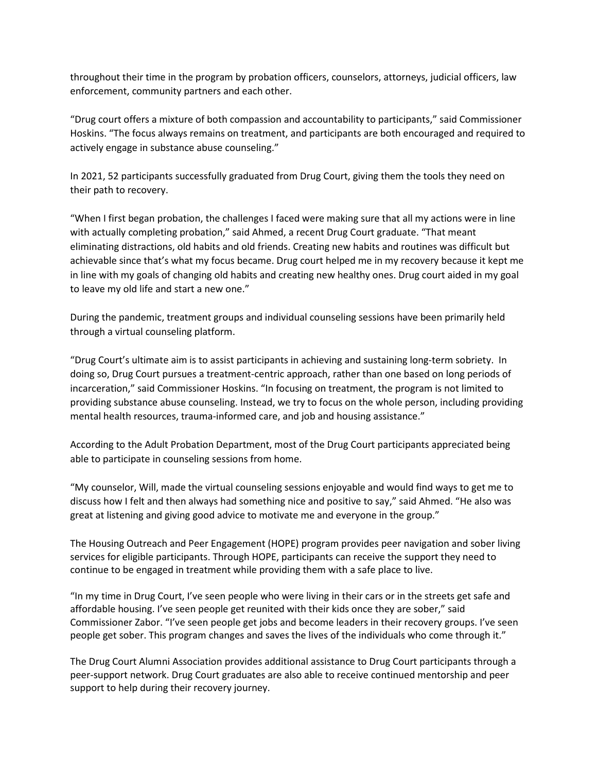throughout their time in the program by probation officers, counselors, attorneys, judicial officers, law enforcement, community partners and each other.

"Drug court offers a mixture of both compassion and accountability to participants," said Commissioner Hoskins. "The focus always remains on treatment, and participants are both encouraged and required to actively engage in substance abuse counseling."

In 2021, 52 participants successfully graduated from Drug Court, giving them the tools they need on their path to recovery.

"When I first began probation, the challenges I faced were making sure that all my actions were in line with actually completing probation," said Ahmed, a recent Drug Court graduate. "That meant eliminating distractions, old habits and old friends. Creating new habits and routines was difficult but achievable since that's what my focus became. Drug court helped me in my recovery because it kept me in line with my goals of changing old habits and creating new healthy ones. Drug court aided in my goal to leave my old life and start a new one."

During the pandemic, treatment groups and individual counseling sessions have been primarily held through a virtual counseling platform.

"Drug Court's ultimate aim is to assist participants in achieving and sustaining long-term sobriety. In doing so, Drug Court pursues a treatment-centric approach, rather than one based on long periods of incarceration," said Commissioner Hoskins. "In focusing on treatment, the program is not limited to providing substance abuse counseling. Instead, we try to focus on the whole person, including providing mental health resources, trauma-informed care, and job and housing assistance."

According to the Adult Probation Department, most of the Drug Court participants appreciated being able to participate in counseling sessions from home.

"My counselor, Will, made the virtual counseling sessions enjoyable and would find ways to get me to discuss how I felt and then always had something nice and positive to say," said Ahmed. "He also was great at listening and giving good advice to motivate me and everyone in the group."

The Housing Outreach and Peer Engagement (HOPE) program provides peer navigation and sober living services for eligible participants. Through HOPE, participants can receive the support they need to continue to be engaged in treatment while providing them with a safe place to live.

"In my time in Drug Court, I've seen people who were living in their cars or in the streets get safe and affordable housing. I've seen people get reunited with their kids once they are sober," said Commissioner Zabor. "I've seen people get jobs and become leaders in their recovery groups. I've seen people get sober. This program changes and saves the lives of the individuals who come through it."

The Drug Court Alumni Association provides additional assistance to Drug Court participants through a peer-support network. Drug Court graduates are also able to receive continued mentorship and peer support to help during their recovery journey.